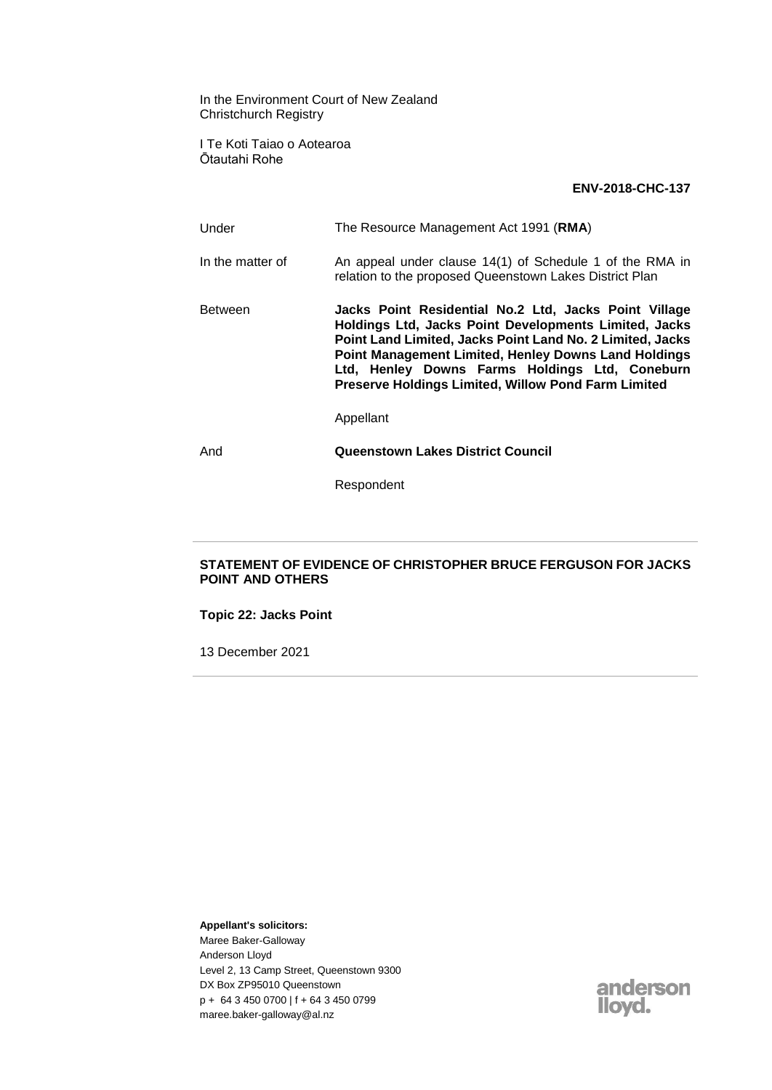In the Environment Court of New Zealand Christchurch Registry

I Te Koti Taiao o Aotearoa Ōtautahi Rohe

#### **ENV-2018-CHC-137**

Under The Resource Management Act 1991 (**RMA**) In the matter of An appeal under clause 14(1) of Schedule 1 of the RMA in relation to the proposed Queenstown Lakes District Plan Between **Jacks Point Residential No.2 Ltd, Jacks Point Village Holdings Ltd, Jacks Point Developments Limited, Jacks Point Land Limited, Jacks Point Land No. 2 Limited, Jacks Point Management Limited, Henley Downs Land Holdings Ltd, Henley Downs Farms Holdings Ltd, Coneburn Preserve Holdings Limited, Willow Pond Farm Limited** Appellant And **Queenstown Lakes District Council**

Respondent

### **STATEMENT OF EVIDENCE OF CHRISTOPHER BRUCE FERGUSON FOR JACKS POINT AND OTHERS**

**Topic 22: Jacks Point**

13 December 2021

**Appellant's solicitors:**

Maree Baker-Galloway Anderson Lloyd Level 2, 13 Camp Street, Queenstown 9300 DX Box ZP95010 Queenstown p + 64 3 450 0700 | f + 64 3 450 0799 maree.baker-galloway@al.nz

anderson llovd.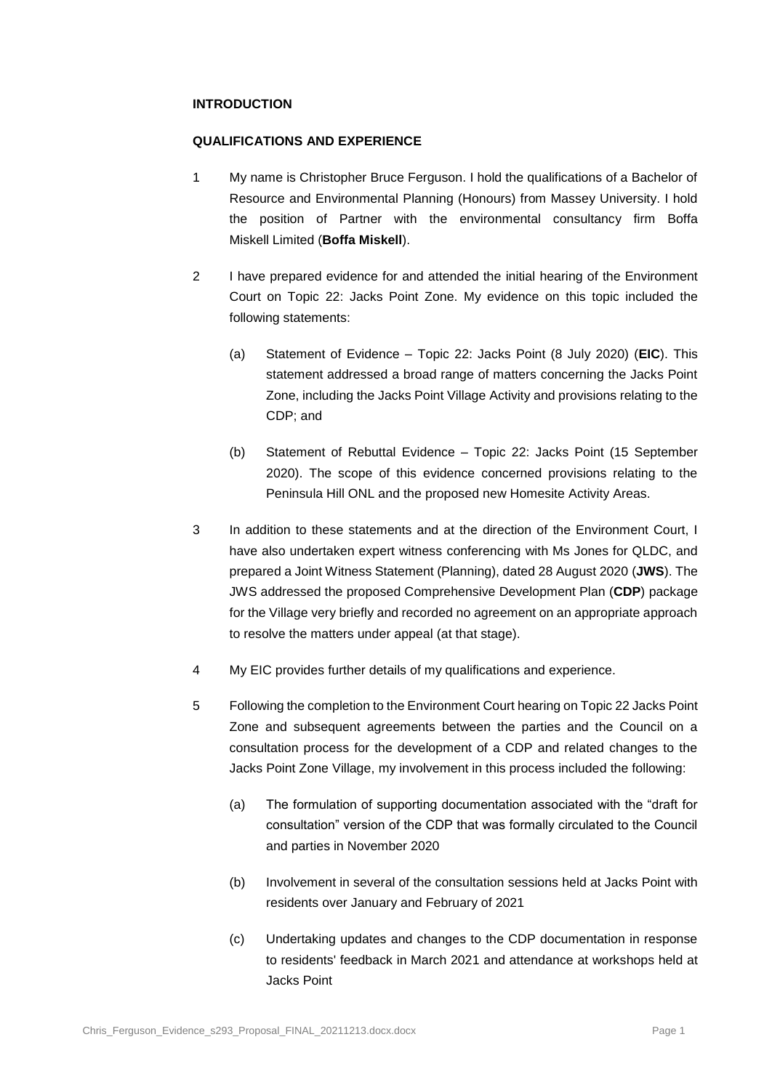#### **INTRODUCTION**

#### **QUALIFICATIONS AND EXPERIENCE**

- 1 My name is Christopher Bruce Ferguson. I hold the qualifications of a Bachelor of Resource and Environmental Planning (Honours) from Massey University. I hold the position of Partner with the environmental consultancy firm Boffa Miskell Limited (**Boffa Miskell**).
- 2 I have prepared evidence for and attended the initial hearing of the Environment Court on Topic 22: Jacks Point Zone. My evidence on this topic included the following statements:
	- (a) Statement of Evidence Topic 22: Jacks Point (8 July 2020) (**EIC**). This statement addressed a broad range of matters concerning the Jacks Point Zone, including the Jacks Point Village Activity and provisions relating to the CDP; and
	- (b) Statement of Rebuttal Evidence Topic 22: Jacks Point (15 September 2020). The scope of this evidence concerned provisions relating to the Peninsula Hill ONL and the proposed new Homesite Activity Areas.
- 3 In addition to these statements and at the direction of the Environment Court, I have also undertaken expert witness conferencing with Ms Jones for QLDC, and prepared a Joint Witness Statement (Planning), dated 28 August 2020 (**JWS**). The JWS addressed the proposed Comprehensive Development Plan (**CDP**) package for the Village very briefly and recorded no agreement on an appropriate approach to resolve the matters under appeal (at that stage).
- 4 My EIC provides further details of my qualifications and experience.
- 5 Following the completion to the Environment Court hearing on Topic 22 Jacks Point Zone and subsequent agreements between the parties and the Council on a consultation process for the development of a CDP and related changes to the Jacks Point Zone Village, my involvement in this process included the following:
	- (a) The formulation of supporting documentation associated with the "draft for consultation" version of the CDP that was formally circulated to the Council and parties in November 2020
	- (b) Involvement in several of the consultation sessions held at Jacks Point with residents over January and February of 2021
	- (c) Undertaking updates and changes to the CDP documentation in response to residents' feedback in March 2021 and attendance at workshops held at Jacks Point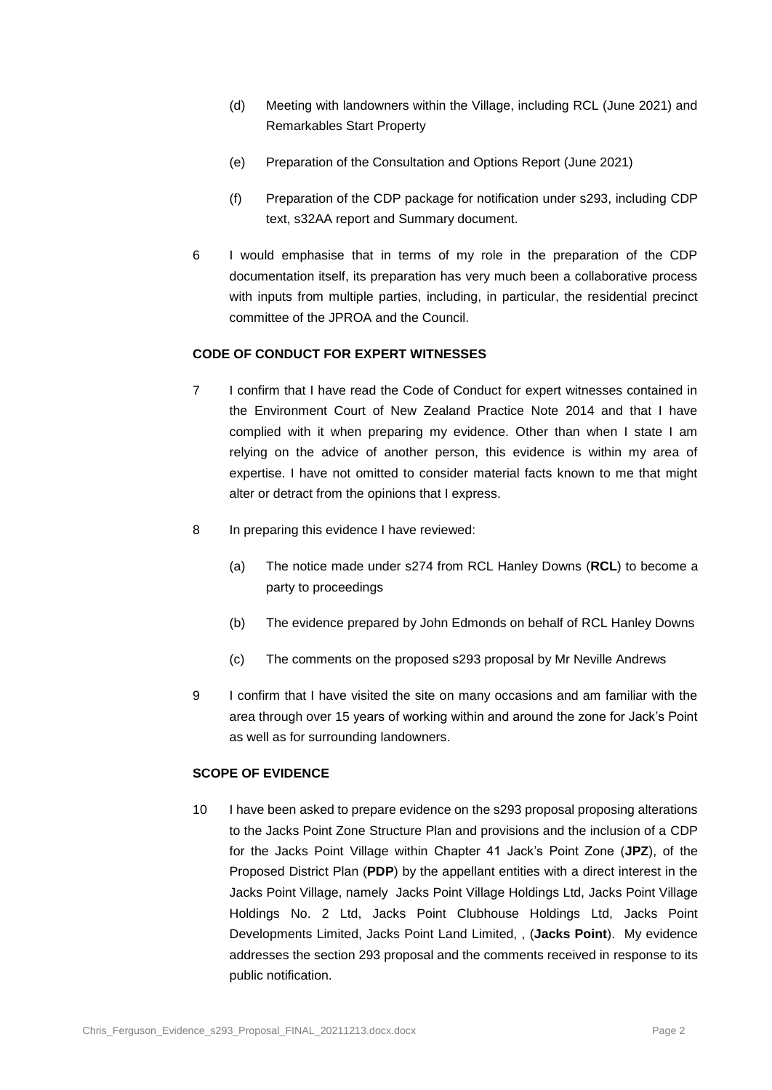- (d) Meeting with landowners within the Village, including RCL (June 2021) and Remarkables Start Property
- (e) Preparation of the Consultation and Options Report (June 2021)
- (f) Preparation of the CDP package for notification under s293, including CDP text, s32AA report and Summary document.
- 6 I would emphasise that in terms of my role in the preparation of the CDP documentation itself, its preparation has very much been a collaborative process with inputs from multiple parties, including, in particular, the residential precinct committee of the JPROA and the Council.

# **CODE OF CONDUCT FOR EXPERT WITNESSES**

- 7 I confirm that I have read the Code of Conduct for expert witnesses contained in the Environment Court of New Zealand Practice Note 2014 and that I have complied with it when preparing my evidence. Other than when I state I am relying on the advice of another person, this evidence is within my area of expertise. I have not omitted to consider material facts known to me that might alter or detract from the opinions that I express.
- 8 In preparing this evidence I have reviewed:
	- (a) The notice made under s274 from RCL Hanley Downs (**RCL**) to become a party to proceedings
	- (b) The evidence prepared by John Edmonds on behalf of RCL Hanley Downs
	- (c) The comments on the proposed s293 proposal by Mr Neville Andrews
- 9 I confirm that I have visited the site on many occasions and am familiar with the area through over 15 years of working within and around the zone for Jack's Point as well as for surrounding landowners.

# **SCOPE OF EVIDENCE**

10 I have been asked to prepare evidence on the s293 proposal proposing alterations to the Jacks Point Zone Structure Plan and provisions and the inclusion of a CDP for the Jacks Point Village within Chapter 41 Jack's Point Zone (**JPZ**), of the Proposed District Plan (**PDP**) by the appellant entities with a direct interest in the Jacks Point Village, namely Jacks Point Village Holdings Ltd, Jacks Point Village Holdings No. 2 Ltd, Jacks Point Clubhouse Holdings Ltd, Jacks Point Developments Limited, Jacks Point Land Limited, , (**Jacks Point**). My evidence addresses the section 293 proposal and the comments received in response to its public notification.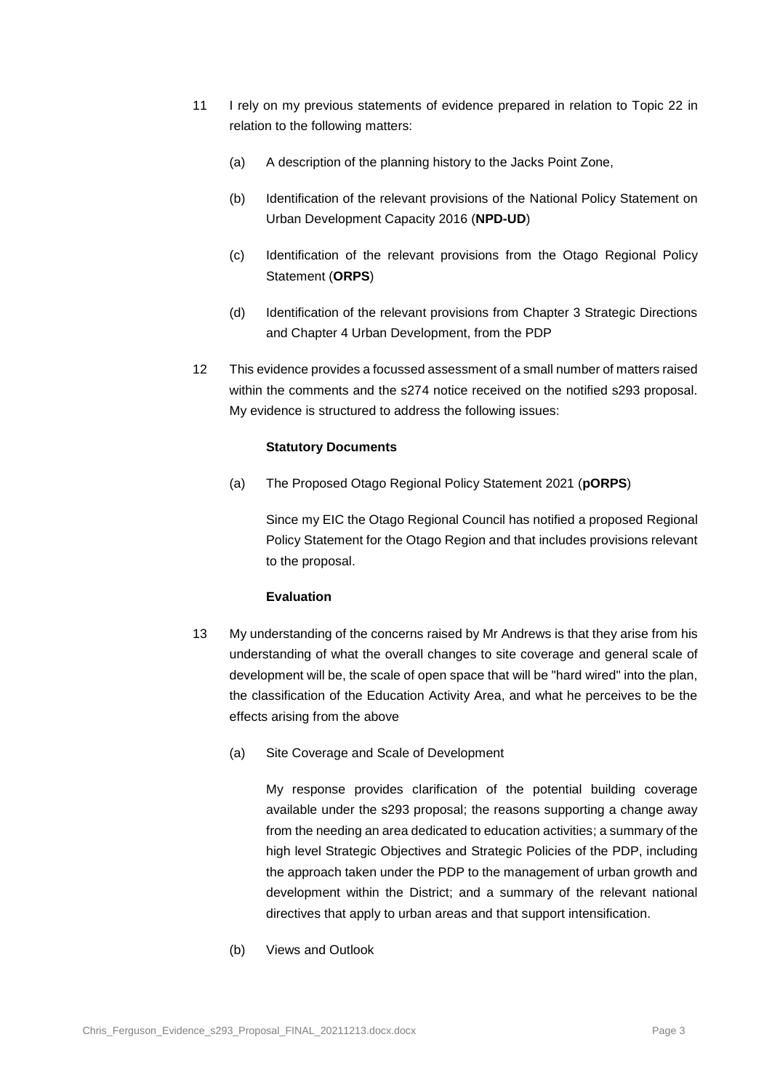- 11 I rely on my previous statements of evidence prepared in relation to Topic 22 in relation to the following matters:
	- (a) A description of the planning history to the Jacks Point Zone,
	- (b) Identification of the relevant provisions of the National Policy Statement on Urban Development Capacity 2016 (**NPD-UD**)
	- (c) Identification of the relevant provisions from the Otago Regional Policy Statement (**ORPS**)
	- (d) Identification of the relevant provisions from Chapter 3 Strategic Directions and Chapter 4 Urban Development, from the PDP
- 12 This evidence provides a focussed assessment of a small number of matters raised within the comments and the s274 notice received on the notified s293 proposal. My evidence is structured to address the following issues:

### **Statutory Documents**

(a) The Proposed Otago Regional Policy Statement 2021 (**pORPS**)

Since my EIC the Otago Regional Council has notified a proposed Regional Policy Statement for the Otago Region and that includes provisions relevant to the proposal.

### **Evaluation**

- 13 My understanding of the concerns raised by Mr Andrews is that they arise from his understanding of what the overall changes to site coverage and general scale of development will be, the scale of open space that will be "hard wired" into the plan, the classification of the Education Activity Area, and what he perceives to be the effects arising from the above
	- (a) Site Coverage and Scale of Development

My response provides clarification of the potential building coverage available under the s293 proposal; the reasons supporting a change away from the needing an area dedicated to education activities; a summary of the high level Strategic Objectives and Strategic Policies of the PDP, including the approach taken under the PDP to the management of urban growth and development within the District; and a summary of the relevant national directives that apply to urban areas and that support intensification.

(b) Views and Outlook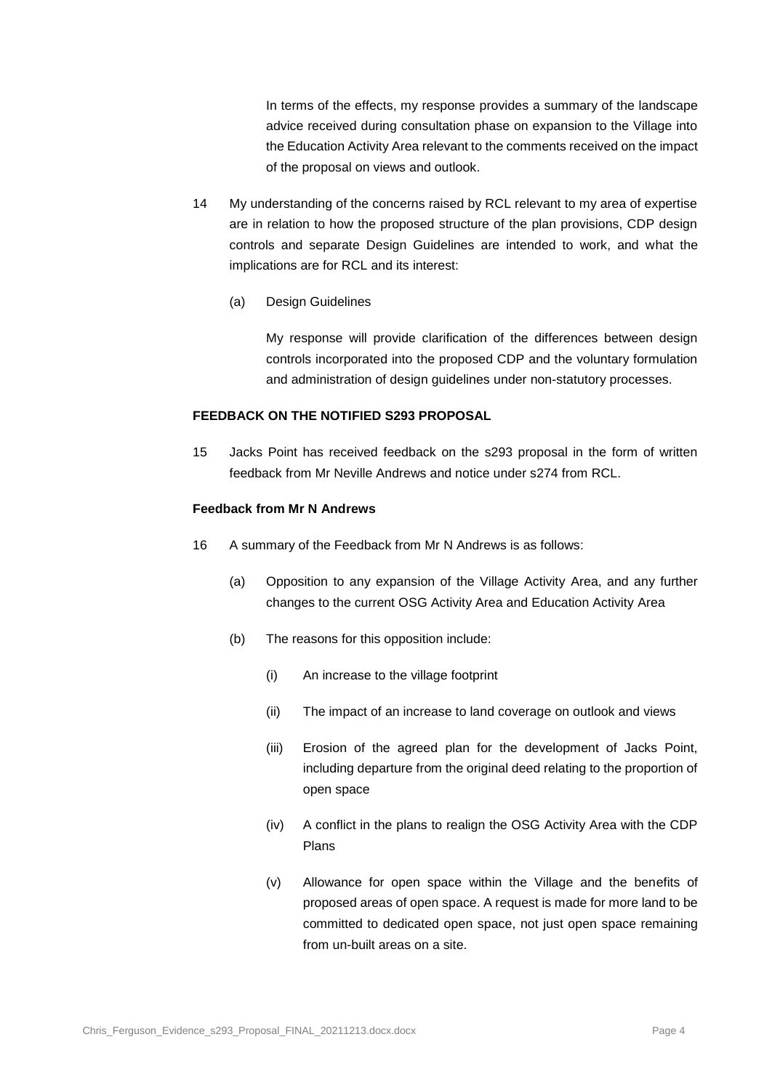In terms of the effects, my response provides a summary of the landscape advice received during consultation phase on expansion to the Village into the Education Activity Area relevant to the comments received on the impact of the proposal on views and outlook.

- 14 My understanding of the concerns raised by RCL relevant to my area of expertise are in relation to how the proposed structure of the plan provisions, CDP design controls and separate Design Guidelines are intended to work, and what the implications are for RCL and its interest:
	- (a) Design Guidelines

My response will provide clarification of the differences between design controls incorporated into the proposed CDP and the voluntary formulation and administration of design guidelines under non-statutory processes.

#### **FEEDBACK ON THE NOTIFIED S293 PROPOSAL**

15 Jacks Point has received feedback on the s293 proposal in the form of written feedback from Mr Neville Andrews and notice under s274 from RCL.

#### **Feedback from Mr N Andrews**

- 16 A summary of the Feedback from Mr N Andrews is as follows:
	- (a) Opposition to any expansion of the Village Activity Area, and any further changes to the current OSG Activity Area and Education Activity Area
	- (b) The reasons for this opposition include:
		- (i) An increase to the village footprint
		- (ii) The impact of an increase to land coverage on outlook and views
		- (iii) Erosion of the agreed plan for the development of Jacks Point, including departure from the original deed relating to the proportion of open space
		- (iv) A conflict in the plans to realign the OSG Activity Area with the CDP Plans
		- (v) Allowance for open space within the Village and the benefits of proposed areas of open space. A request is made for more land to be committed to dedicated open space, not just open space remaining from un-built areas on a site.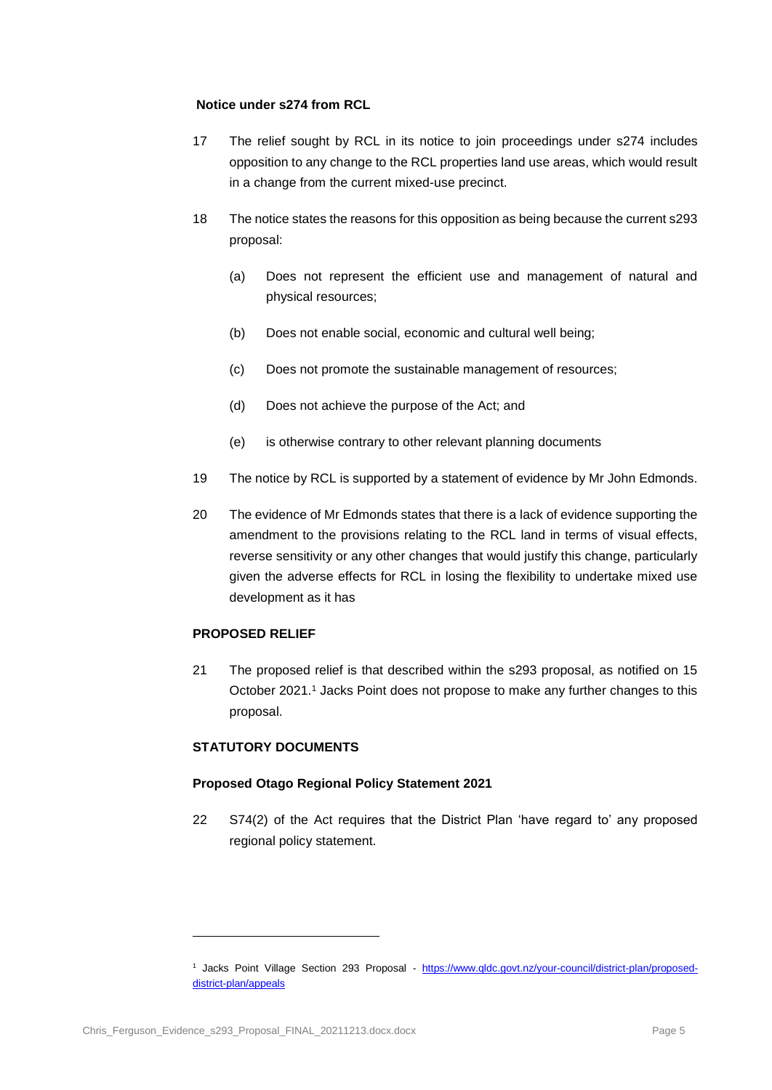### **Notice under s274 from RCL**

- 17 The relief sought by RCL in its notice to join proceedings under s274 includes opposition to any change to the RCL properties land use areas, which would result in a change from the current mixed-use precinct.
- 18 The notice states the reasons for this opposition as being because the current s293 proposal:
	- (a) Does not represent the efficient use and management of natural and physical resources;
	- (b) Does not enable social, economic and cultural well being;
	- (c) Does not promote the sustainable management of resources;
	- (d) Does not achieve the purpose of the Act; and
	- (e) is otherwise contrary to other relevant planning documents
- 19 The notice by RCL is supported by a statement of evidence by Mr John Edmonds.
- 20 The evidence of Mr Edmonds states that there is a lack of evidence supporting the amendment to the provisions relating to the RCL land in terms of visual effects, reverse sensitivity or any other changes that would justify this change, particularly given the adverse effects for RCL in losing the flexibility to undertake mixed use development as it has

### **PROPOSED RELIEF**

21 The proposed relief is that described within the s293 proposal, as notified on 15 October 2021.<sup>1</sup> Jacks Point does not propose to make any further changes to this proposal.

### **STATUTORY DOCUMENTS**

#### **Proposed Otago Regional Policy Statement 2021**

22 S74(2) of the Act requires that the District Plan 'have regard to' any proposed regional policy statement.

<sup>&</sup>lt;sup>1</sup> Jacks Point Village Section 293 Proposal - [https://www.qldc.govt.nz/your-council/district-plan/proposed](https://www.qldc.govt.nz/your-council/district-plan/proposed-district-plan/appeals)[district-plan/appeals](https://www.qldc.govt.nz/your-council/district-plan/proposed-district-plan/appeals)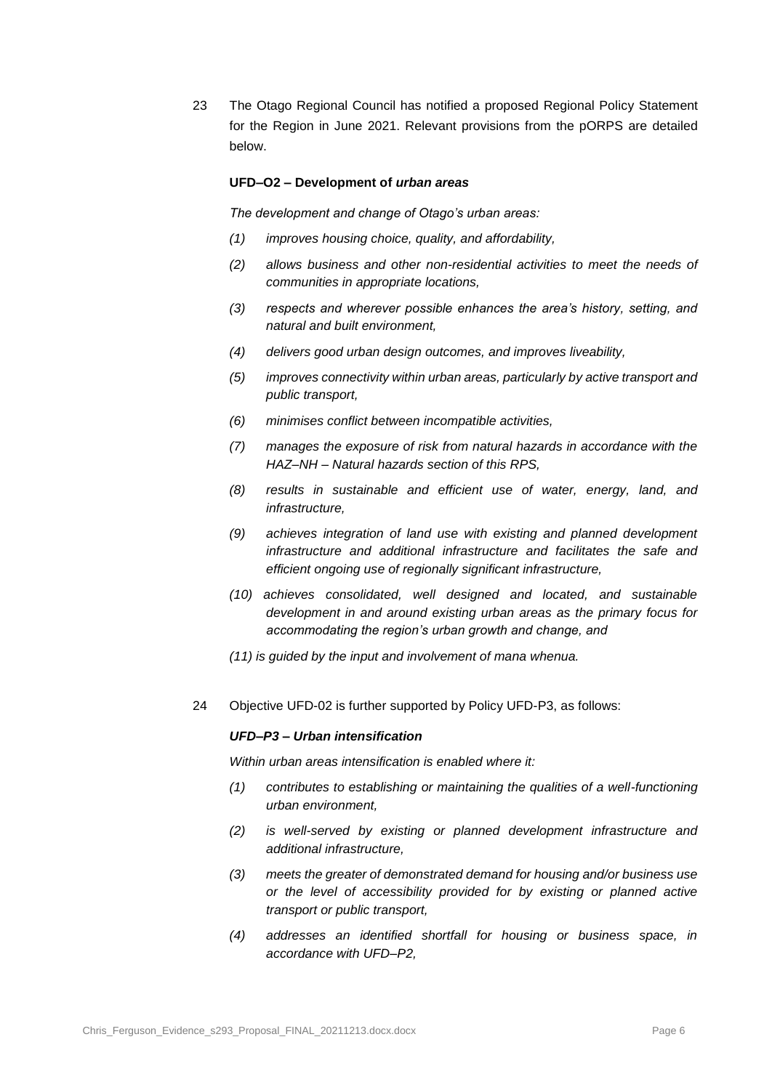23 The Otago Regional Council has notified a proposed Regional Policy Statement for the Region in June 2021. Relevant provisions from the pORPS are detailed below.

#### **UFD–O2 – Development of** *urban areas*

*The development and change of Otago's urban areas:*

- *(1) improves housing choice, quality, and affordability,*
- *(2) allows business and other non-residential activities to meet the needs of communities in appropriate locations,*
- *(3) respects and wherever possible enhances the area's history, setting, and natural and built environment,*
- *(4) delivers good urban design outcomes, and improves liveability,*
- *(5) improves connectivity within urban areas, particularly by active transport and public transport,*
- *(6) minimises conflict between incompatible activities,*
- *(7) manages the exposure of risk from natural hazards in accordance with the HAZ–NH – Natural hazards section of this RPS,*
- *(8) results in sustainable and efficient use of water, energy, land, and infrastructure,*
- *(9) achieves integration of land use with existing and planned development infrastructure and additional infrastructure and facilitates the safe and efficient ongoing use of regionally significant infrastructure,*
- *(10) achieves consolidated, well designed and located, and sustainable development in and around existing urban areas as the primary focus for accommodating the region's urban growth and change, and*
- *(11) is guided by the input and involvement of mana whenua.*
- 24 Objective UFD-02 is further supported by Policy UFD-P3, as follows:

#### *UFD–P3 – Urban intensification*

*Within urban areas intensification is enabled where it:* 

- *(1) contributes to establishing or maintaining the qualities of a well-functioning urban environment,*
- *(2) is well-served by existing or planned development infrastructure and additional infrastructure,*
- *(3) meets the greater of demonstrated demand for housing and/or business use or the level of accessibility provided for by existing or planned active transport or public transport,*
- *(4) addresses an identified shortfall for housing or business space, in accordance with UFD–P2,*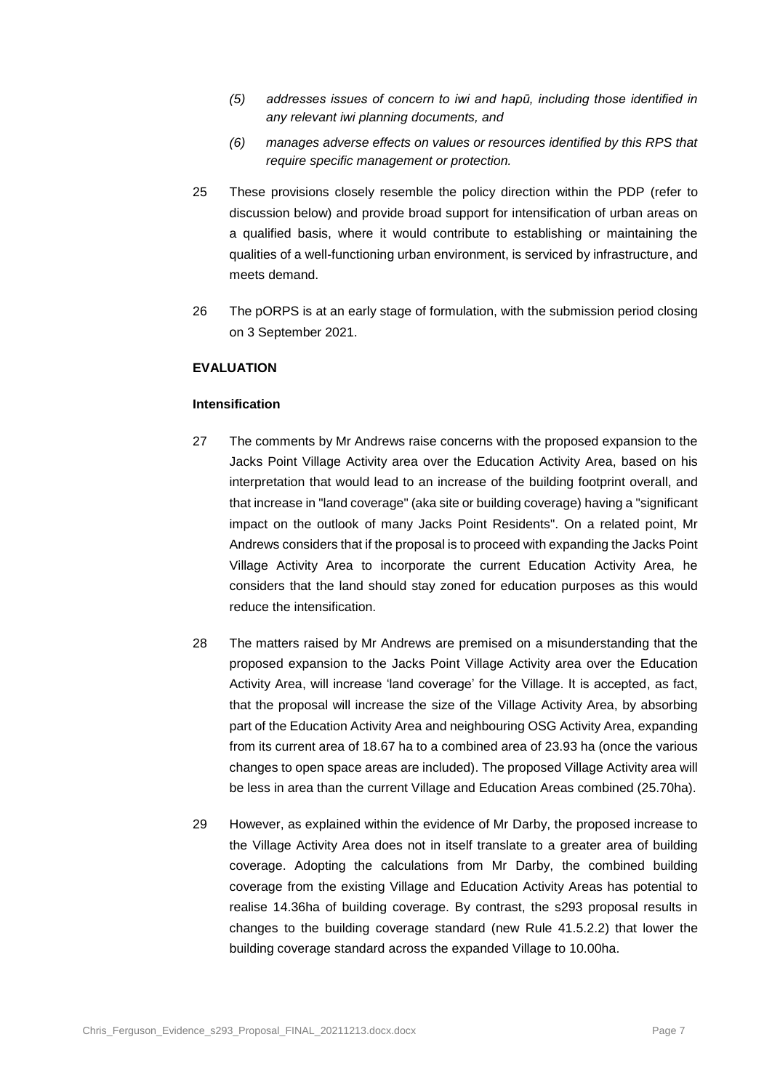- *(5) addresses issues of concern to iwi and hapū, including those identified in any relevant iwi planning documents, and*
- *(6) manages adverse effects on values or resources identified by this RPS that require specific management or protection.*
- 25 These provisions closely resemble the policy direction within the PDP (refer to discussion below) and provide broad support for intensification of urban areas on a qualified basis, where it would contribute to establishing or maintaining the qualities of a well-functioning urban environment, is serviced by infrastructure, and meets demand.
- 26 The pORPS is at an early stage of formulation, with the submission period closing on 3 September 2021.

# **EVALUATION**

#### **Intensification**

- 27 The comments by Mr Andrews raise concerns with the proposed expansion to the Jacks Point Village Activity area over the Education Activity Area, based on his interpretation that would lead to an increase of the building footprint overall, and that increase in "land coverage" (aka site or building coverage) having a "significant impact on the outlook of many Jacks Point Residents". On a related point, Mr Andrews considers that if the proposal is to proceed with expanding the Jacks Point Village Activity Area to incorporate the current Education Activity Area, he considers that the land should stay zoned for education purposes as this would reduce the intensification.
- 28 The matters raised by Mr Andrews are premised on a misunderstanding that the proposed expansion to the Jacks Point Village Activity area over the Education Activity Area, will increase 'land coverage' for the Village. It is accepted, as fact, that the proposal will increase the size of the Village Activity Area, by absorbing part of the Education Activity Area and neighbouring OSG Activity Area, expanding from its current area of 18.67 ha to a combined area of 23.93 ha (once the various changes to open space areas are included). The proposed Village Activity area will be less in area than the current Village and Education Areas combined (25.70ha).
- 29 However, as explained within the evidence of Mr Darby, the proposed increase to the Village Activity Area does not in itself translate to a greater area of building coverage. Adopting the calculations from Mr Darby, the combined building coverage from the existing Village and Education Activity Areas has potential to realise 14.36ha of building coverage. By contrast, the s293 proposal results in changes to the building coverage standard (new Rule 41.5.2.2) that lower the building coverage standard across the expanded Village to 10.00ha.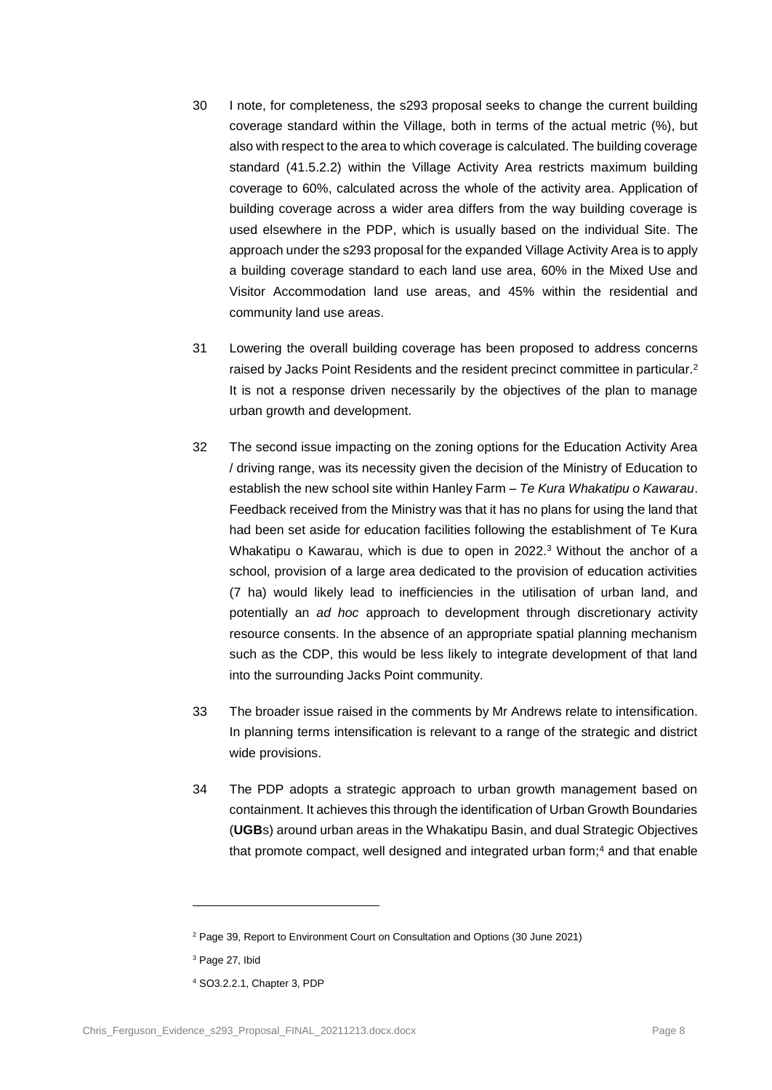- 30 I note, for completeness, the s293 proposal seeks to change the current building coverage standard within the Village, both in terms of the actual metric (%), but also with respect to the area to which coverage is calculated. The building coverage standard (41.5.2.2) within the Village Activity Area restricts maximum building coverage to 60%, calculated across the whole of the activity area. Application of building coverage across a wider area differs from the way building coverage is used elsewhere in the PDP, which is usually based on the individual Site. The approach under the s293 proposal for the expanded Village Activity Area is to apply a building coverage standard to each land use area, 60% in the Mixed Use and Visitor Accommodation land use areas, and 45% within the residential and community land use areas.
- 31 Lowering the overall building coverage has been proposed to address concerns raised by Jacks Point Residents and the resident precinct committee in particular.<sup>2</sup> It is not a response driven necessarily by the objectives of the plan to manage urban growth and development.
- 32 The second issue impacting on the zoning options for the Education Activity Area / driving range, was its necessity given the decision of the Ministry of Education to establish the new school site within Hanley Farm – *Te Kura Whakatipu o Kawarau*. Feedback received from the Ministry was that it has no plans for using the land that had been set aside for education facilities following the establishment of Te Kura Whakatipu o Kawarau, which is due to open in 2022.<sup>3</sup> Without the anchor of a school, provision of a large area dedicated to the provision of education activities (7 ha) would likely lead to inefficiencies in the utilisation of urban land, and potentially an *ad hoc* approach to development through discretionary activity resource consents. In the absence of an appropriate spatial planning mechanism such as the CDP, this would be less likely to integrate development of that land into the surrounding Jacks Point community.
- 33 The broader issue raised in the comments by Mr Andrews relate to intensification. In planning terms intensification is relevant to a range of the strategic and district wide provisions.
- 34 The PDP adopts a strategic approach to urban growth management based on containment. It achieves this through the identification of Urban Growth Boundaries (**UGB**s) around urban areas in the Whakatipu Basin, and dual Strategic Objectives that promote compact, well designed and integrated urban form;<sup>4</sup> and that enable

<sup>&</sup>lt;sup>2</sup> Page 39, Report to Environment Court on Consultation and Options (30 June 2021)

<sup>&</sup>lt;sup>3</sup> Page 27, Ibid

<sup>4</sup> SO3.2.2.1, Chapter 3, PDP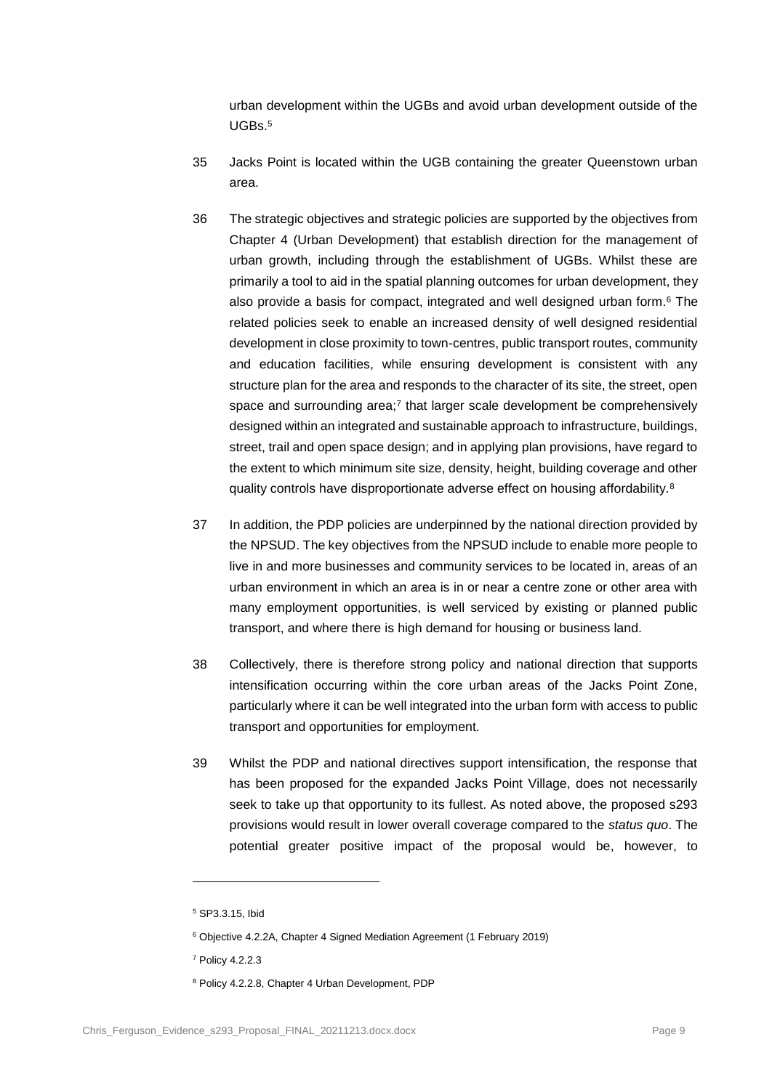urban development within the UGBs and avoid urban development outside of the  $IIGRs<sup>5</sup>$ 

- 35 Jacks Point is located within the UGB containing the greater Queenstown urban area.
- 36 The strategic objectives and strategic policies are supported by the objectives from Chapter 4 (Urban Development) that establish direction for the management of urban growth, including through the establishment of UGBs. Whilst these are primarily a tool to aid in the spatial planning outcomes for urban development, they also provide a basis for compact, integrated and well designed urban form.<sup>6</sup> The related policies seek to enable an increased density of well designed residential development in close proximity to town-centres, public transport routes, community and education facilities, while ensuring development is consistent with any structure plan for the area and responds to the character of its site, the street, open space and surrounding area;<sup>7</sup> that larger scale development be comprehensively designed within an integrated and sustainable approach to infrastructure, buildings, street, trail and open space design; and in applying plan provisions, have regard to the extent to which minimum site size, density, height, building coverage and other quality controls have disproportionate adverse effect on housing affordability.<sup>8</sup>
- 37 In addition, the PDP policies are underpinned by the national direction provided by the NPSUD. The key objectives from the NPSUD include to enable more people to live in and more businesses and community services to be located in, areas of an urban environment in which an area is in or near a centre zone or other area with many employment opportunities, is well serviced by existing or planned public transport, and where there is high demand for housing or business land.
- 38 Collectively, there is therefore strong policy and national direction that supports intensification occurring within the core urban areas of the Jacks Point Zone, particularly where it can be well integrated into the urban form with access to public transport and opportunities for employment.
- 39 Whilst the PDP and national directives support intensification, the response that has been proposed for the expanded Jacks Point Village, does not necessarily seek to take up that opportunity to its fullest. As noted above, the proposed s293 provisions would result in lower overall coverage compared to the *status quo*. The potential greater positive impact of the proposal would be, however, to

 $\overline{a}$ 

<sup>5</sup> SP3.3.15, Ibid

<sup>6</sup> Objective 4.2.2A, Chapter 4 Signed Mediation Agreement (1 February 2019)

<sup>7</sup> Policy 4.2.2.3

<sup>8</sup> Policy 4.2.2.8, Chapter 4 Urban Development, PDP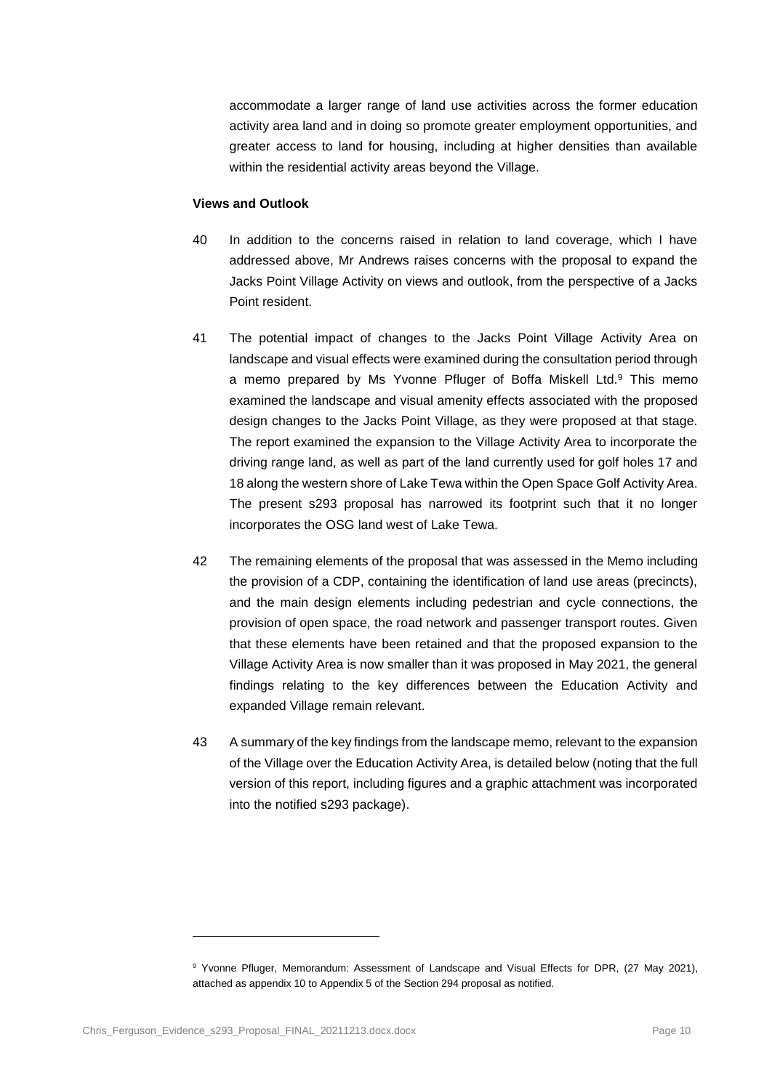accommodate a larger range of land use activities across the former education activity area land and in doing so promote greater employment opportunities, and greater access to land for housing, including at higher densities than available within the residential activity areas beyond the Village.

#### **Views and Outlook**

- 40 In addition to the concerns raised in relation to land coverage, which I have addressed above, Mr Andrews raises concerns with the proposal to expand the Jacks Point Village Activity on views and outlook, from the perspective of a Jacks Point resident.
- 41 The potential impact of changes to the Jacks Point Village Activity Area on landscape and visual effects were examined during the consultation period through a memo prepared by Ms Yvonne Pfluger of Boffa Miskell Ltd.<sup>9</sup> This memo examined the landscape and visual amenity effects associated with the proposed design changes to the Jacks Point Village, as they were proposed at that stage. The report examined the expansion to the Village Activity Area to incorporate the driving range land, as well as part of the land currently used for golf holes 17 and 18 along the western shore of Lake Tewa within the Open Space Golf Activity Area. The present s293 proposal has narrowed its footprint such that it no longer incorporates the OSG land west of Lake Tewa.
- 42 The remaining elements of the proposal that was assessed in the Memo including the provision of a CDP, containing the identification of land use areas (precincts), and the main design elements including pedestrian and cycle connections, the provision of open space, the road network and passenger transport routes. Given that these elements have been retained and that the proposed expansion to the Village Activity Area is now smaller than it was proposed in May 2021, the general findings relating to the key differences between the Education Activity and expanded Village remain relevant.
- 43 A summary of the key findings from the landscape memo, relevant to the expansion of the Village over the Education Activity Area, is detailed below (noting that the full version of this report, including figures and a graphic attachment was incorporated into the notified s293 package).

<sup>&</sup>lt;sup>9</sup> Yvonne Pfluger, Memorandum: Assessment of Landscape and Visual Effects for DPR, (27 May 2021), attached as appendix 10 to Appendix 5 of the Section 294 proposal as notified.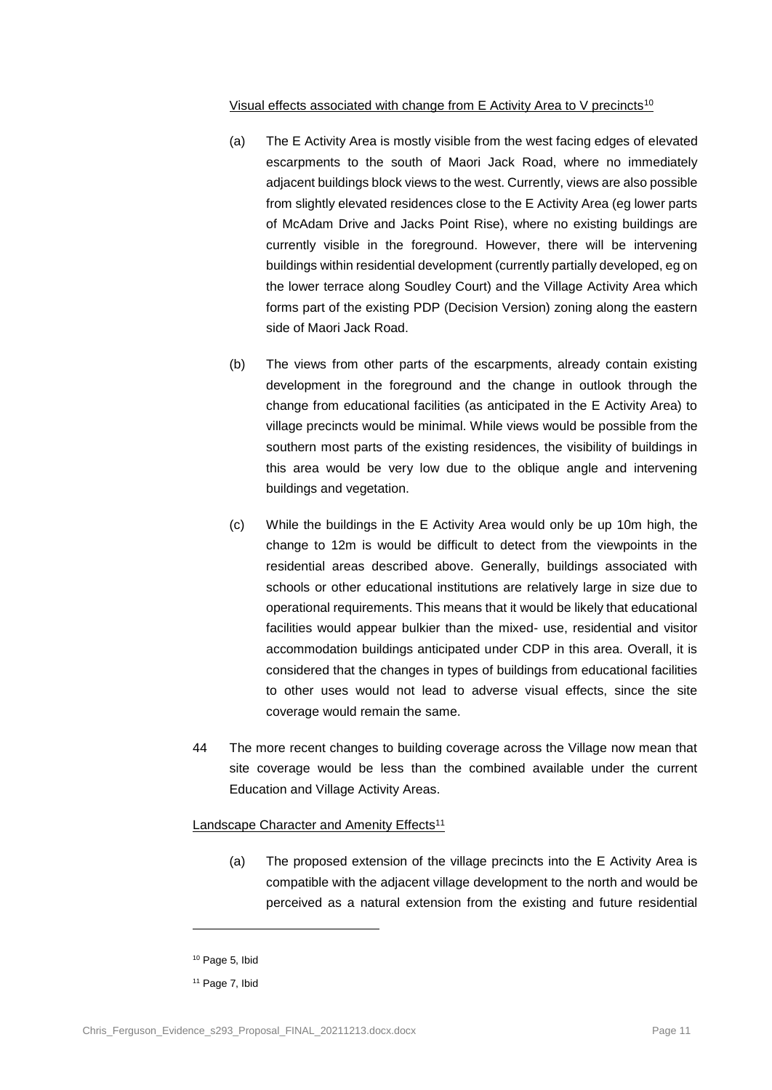#### Visual effects associated with change from E Activity Area to V precincts<sup>10</sup>

- (a) The E Activity Area is mostly visible from the west facing edges of elevated escarpments to the south of Maori Jack Road, where no immediately adjacent buildings block views to the west. Currently, views are also possible from slightly elevated residences close to the E Activity Area (eg lower parts of McAdam Drive and Jacks Point Rise), where no existing buildings are currently visible in the foreground. However, there will be intervening buildings within residential development (currently partially developed, eg on the lower terrace along Soudley Court) and the Village Activity Area which forms part of the existing PDP (Decision Version) zoning along the eastern side of Maori Jack Road.
- (b) The views from other parts of the escarpments, already contain existing development in the foreground and the change in outlook through the change from educational facilities (as anticipated in the E Activity Area) to village precincts would be minimal. While views would be possible from the southern most parts of the existing residences, the visibility of buildings in this area would be very low due to the oblique angle and intervening buildings and vegetation.
- (c) While the buildings in the E Activity Area would only be up 10m high, the change to 12m is would be difficult to detect from the viewpoints in the residential areas described above. Generally, buildings associated with schools or other educational institutions are relatively large in size due to operational requirements. This means that it would be likely that educational facilities would appear bulkier than the mixed- use, residential and visitor accommodation buildings anticipated under CDP in this area. Overall, it is considered that the changes in types of buildings from educational facilities to other uses would not lead to adverse visual effects, since the site coverage would remain the same.
- 44 The more recent changes to building coverage across the Village now mean that site coverage would be less than the combined available under the current Education and Village Activity Areas.

### Landscape Character and Amenity Effects<sup>11</sup>

(a) The proposed extension of the village precincts into the E Activity Area is compatible with the adjacent village development to the north and would be perceived as a natural extension from the existing and future residential

<sup>10</sup> Page 5, Ibid

<sup>&</sup>lt;sup>11</sup> Page 7, Ibid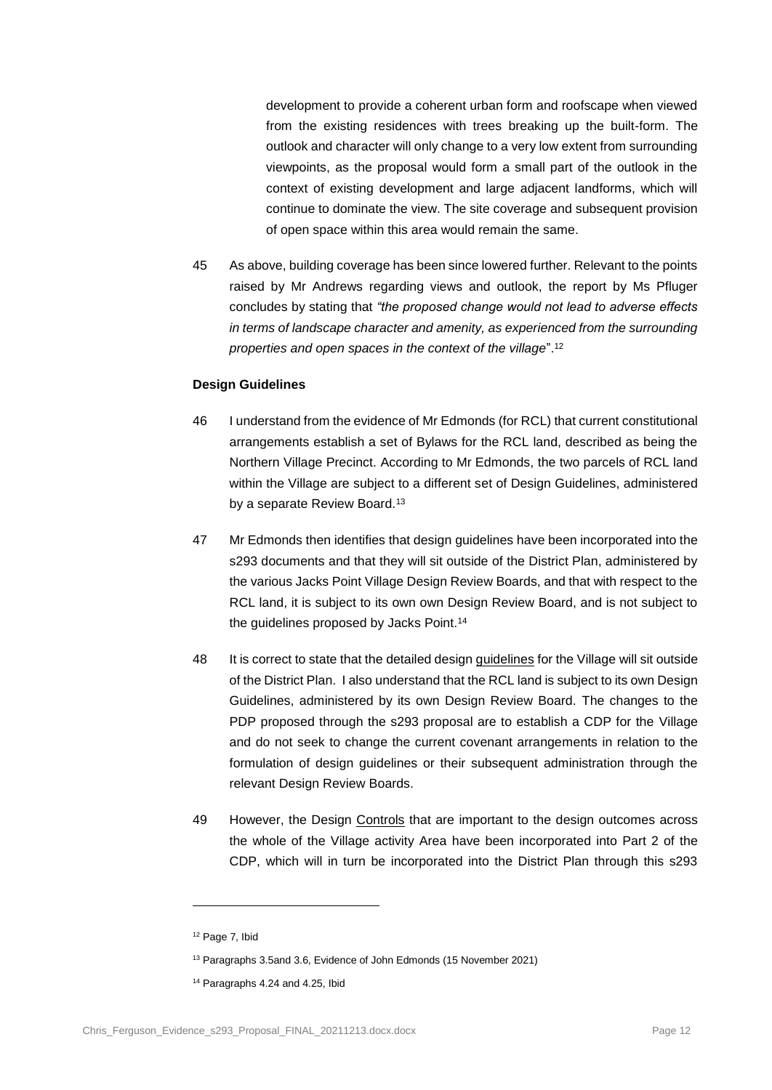development to provide a coherent urban form and roofscape when viewed from the existing residences with trees breaking up the built-form. The outlook and character will only change to a very low extent from surrounding viewpoints, as the proposal would form a small part of the outlook in the context of existing development and large adjacent landforms, which will continue to dominate the view. The site coverage and subsequent provision of open space within this area would remain the same.

45 As above, building coverage has been since lowered further. Relevant to the points raised by Mr Andrews regarding views and outlook, the report by Ms Pfluger concludes by stating that *"the proposed change would not lead to adverse effects in terms of landscape character and amenity, as experienced from the surrounding properties and open spaces in the context of the village*".<sup>12</sup>

#### **Design Guidelines**

- 46 I understand from the evidence of Mr Edmonds (for RCL) that current constitutional arrangements establish a set of Bylaws for the RCL land, described as being the Northern Village Precinct. According to Mr Edmonds, the two parcels of RCL land within the Village are subject to a different set of Design Guidelines, administered by a separate Review Board.<sup>13</sup>
- 47 Mr Edmonds then identifies that design guidelines have been incorporated into the s293 documents and that they will sit outside of the District Plan, administered by the various Jacks Point Village Design Review Boards, and that with respect to the RCL land, it is subject to its own own Design Review Board, and is not subject to the guidelines proposed by Jacks Point.<sup>14</sup>
- 48 It is correct to state that the detailed design guidelines for the Village will sit outside of the District Plan. I also understand that the RCL land is subject to its own Design Guidelines, administered by its own Design Review Board. The changes to the PDP proposed through the s293 proposal are to establish a CDP for the Village and do not seek to change the current covenant arrangements in relation to the formulation of design guidelines or their subsequent administration through the relevant Design Review Boards.
- 49 However, the Design Controls that are important to the design outcomes across the whole of the Village activity Area have been incorporated into Part 2 of the CDP, which will in turn be incorporated into the District Plan through this s293

<sup>12</sup> Page 7, Ibid

<sup>13</sup> Paragraphs 3.5and 3.6, Evidence of John Edmonds (15 November 2021)

<sup>14</sup> Paragraphs 4.24 and 4.25, Ibid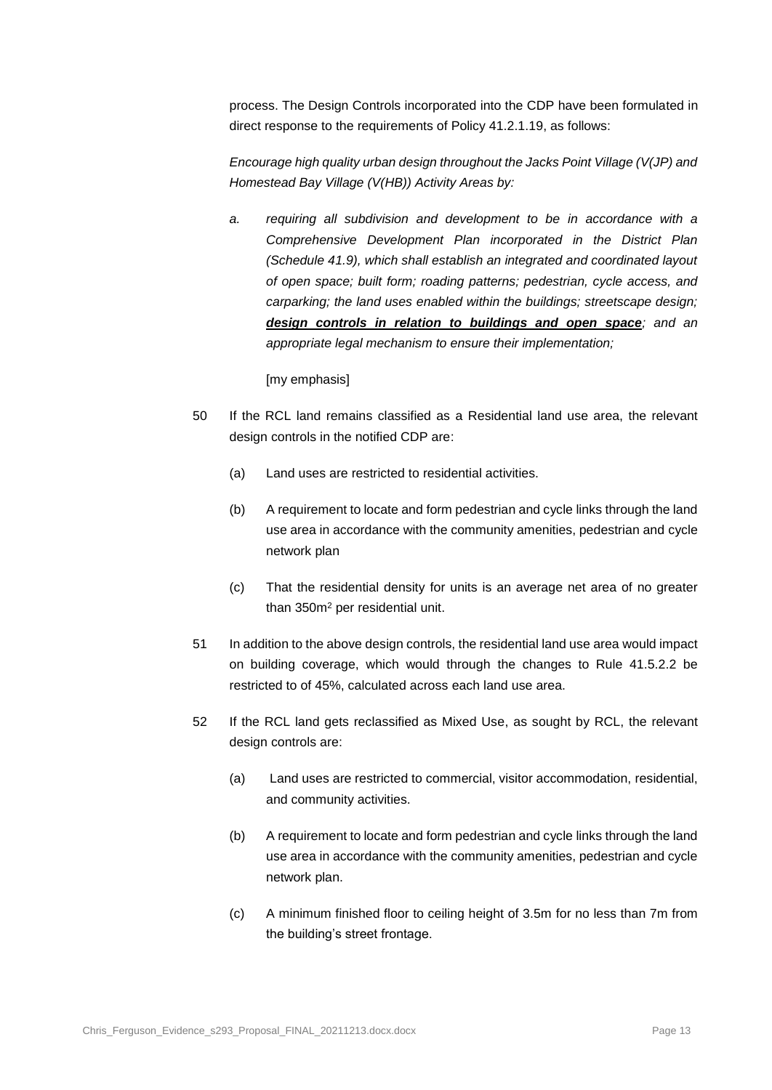process. The Design Controls incorporated into the CDP have been formulated in direct response to the requirements of Policy 41.2.1.19, as follows:

*Encourage high quality urban design throughout the Jacks Point Village (V(JP) and Homestead Bay Village (V(HB)) Activity Areas by:* 

*a. requiring all subdivision and development to be in accordance with a Comprehensive Development Plan incorporated in the District Plan (Schedule 41.9), which shall establish an integrated and coordinated layout of open space; built form; roading patterns; pedestrian, cycle access, and carparking; the land uses enabled within the buildings; streetscape design; design controls in relation to buildings and open space; and an appropriate legal mechanism to ensure their implementation;*

[my emphasis]

- 50 If the RCL land remains classified as a Residential land use area, the relevant design controls in the notified CDP are:
	- (a) Land uses are restricted to residential activities.
	- (b) A requirement to locate and form pedestrian and cycle links through the land use area in accordance with the community amenities, pedestrian and cycle network plan
	- (c) That the residential density for units is an average net area of no greater than 350m<sup>2</sup> per residential unit.
- 51 In addition to the above design controls, the residential land use area would impact on building coverage, which would through the changes to Rule 41.5.2.2 be restricted to of 45%, calculated across each land use area.
- 52 If the RCL land gets reclassified as Mixed Use, as sought by RCL, the relevant design controls are:
	- (a) Land uses are restricted to commercial, visitor accommodation, residential, and community activities.
	- (b) A requirement to locate and form pedestrian and cycle links through the land use area in accordance with the community amenities, pedestrian and cycle network plan.
	- (c) A minimum finished floor to ceiling height of 3.5m for no less than 7m from the building's street frontage.